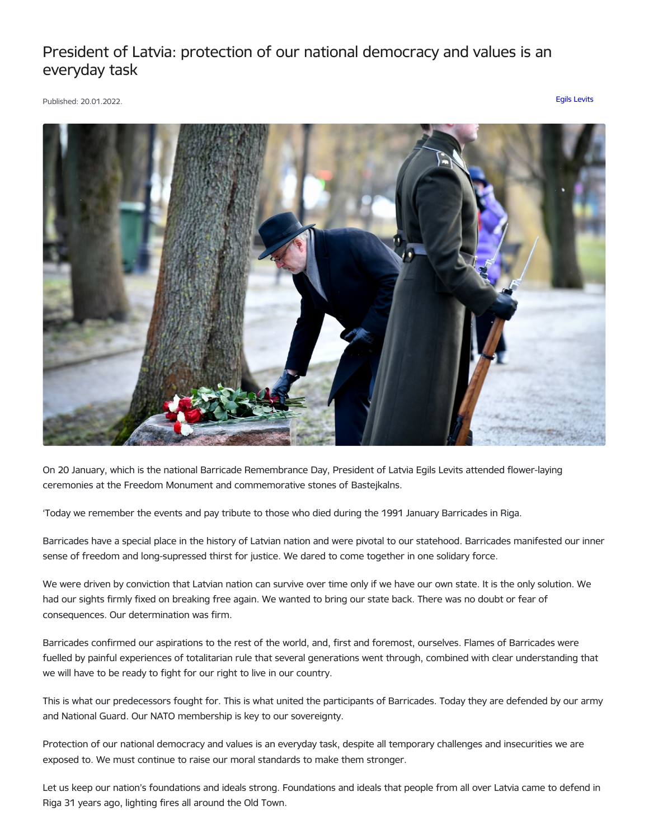## President of Latvia: protection of our national democracy and values is an everyday task

Published: 20.01.2022. Egils [Levits](https://www.president.lv/en/articles?category%255B276%255D=276)



On 20 January, which is the national Barricade Remembrance Day, President of Latvia Egils Levits attended flower-laying ceremonies at the Freedom Monument and commemorative stones of Bastejkalns.

'Today we remember the events and pay tribute to those who died during the 1991 January Barricades in Riga.

Barricades have a special place in the history of Latvian nation and were pivotal to our statehood. Barricades manifested our inner sense of freedom and long-supressed thirst for justice. We dared to come together in one solidary force.

We were driven by conviction that Latvian nation can survive over time only if we have our own state. It is the only solution. We had our sights firmly fixed on breaking free again. We wanted to bring our state back. There was no doubt or fear of consequences. Our determination was firm.

Barricades confirmed our aspirations to the rest of the world, and, first and foremost, ourselves. Flames of Barricades were fuelled by painful experiences of totalitarian rule that several generations went through, combined with clear understanding that we will have to be ready to fight for our right to live in our country.

This is what our predecessors fought for. This is what united the participants of Barricades. Today they are defended by our army and National Guard. Our NATO membership is key to our sovereignty.

Protection of our national democracy and values is an everyday task, despite all temporary challenges and insecurities we are exposed to. We must continue to raise our moral standards to make them stronger.

Let us keep our nation's foundations and ideals strong. Foundations and ideals that people from all over Latvia came to defend in Riga 31 years ago, lighting fires all around the Old Town.